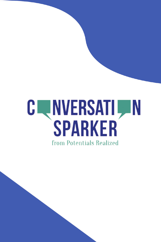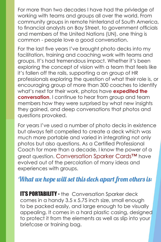For more than two decades I have had the privledge of working with teams and groups all over the world. From community groups in remote hinterland of South America, to financial analysts on Bay Street, to government officials and members of the United Nations (UN), one thing is common - people love a good conversation.

For the last five years I've brought photo decks into my facilitation, training and coaching work with teams and groups. It's had tremendous impact. Whether it's been exploring the concept of vision with a team that feels like it's fallen off the rails, supporting a an group of HR professionals exploring the question of what their role is, or encouraging group of more than 300 coaches to identify what's next for their work, photos have **expedited the conversation**. I continue to hear from group and team members how they were surprised by what new insights they gained, and deep conversations that photos and questions provoked.

For years I've used a number of photo decks in existence but always felt compelled to create a deck which was much more portable and varied in integrating not only photos but also questions. As a Certified Professional Coach for more than a decade, I know the power of a great question. Conversation Sparker Cards<sup>™</sup> have evolved out of the percolation of many ideas and experiences with groups.

#### What we hope will set this deck apart from others is:

**IT'S PORTABILITY - the Conversation Sparker deck** comes in a handy 3.5 x 5.75 inch size, small enough to be packed easily, and large enough to be visually appealing. It comes in a hard plastic casing, designed to protect it from the elements as well as slip into your briefcase or training bag.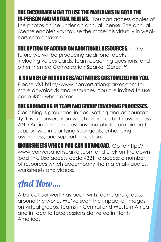THE ENCOURAGEMENT TO USE THE MATERIALS IN BOTH THE IN-PERSON AND VIRTUAL REALMS. You can access copies of the photos online under an annual license. The annual license enables you to use the materials virtually in webinars or teleclasses.

#### THE OPTION OF ADDING ON ADDITIONAL RESOURCES. In the

future we will be producing additional decks including values cards, team coaching questions, and other themed Conversation Sparker Cards ™.

#### A NUMBER OF RESOURCES/ACTIVITIES CUSTOMIZED FOR YOU.

Please visit http://www.conversationsparker.com for more downloads and resources. You are invited to use code 4321 when asked.

#### THE GROUNDING IN TEAM AND GROUP COACHING PROCESSES.

Coaching is grounded in goal setting and accountability. It is a conversation which provokes both awareness AND Action. These questions and photos are aimed to support you in clarifying your goals, enhancing awareness, and supporting action.

WORKSHEETS WHICH YOU CAN DOWNLOAD. Go to http:// www.conversationsparker.com and click on the download link. Use access code 4321 to access a number of resources which accompany the material - audios, worksheets and videos.

## And Now….

A bulk of our work has been with teams and groups around the world. We've seen the impact of images on virtual groups, teams in Central and Western Africa and in face to face sessions delivered in North America.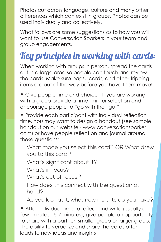Photos cut across language, culture and many other differences which can exist in groups. Photos can be used individually and collectively.

What follows are some suggestions as to how you will want to use Conversation Sparkers in your team and group engagements.

# Key principles in working with cards:

When working with groups in person, spread the cards out in a large area so people can touch and review the cards. Make sure bags, cords, and other tripping items are out of the way before you have them move!

**•** Give people time and choice - If you are working with a group provide a time limit for selection and encourage people to "go with their gut"

**•** Provide each participant with individual reflection time. You may want to design a handout (see sample handout on our website - www.conversationsparker. com) or have people reflect on and journal around these questions:

What made you select this card? OR What drew you to this card?

What's significant about it?

What's in focus?

What's out of focus?

How does this connect with the question at hand?

As you look at it, what new insights do you have?

**•** After individual time to reflect and write (usually a few minutes - 5-7 minutes), give people an opportunity to share with a partner, smaller group or larger group. The ability to verbalize and share the cards often leads to new ideas and insights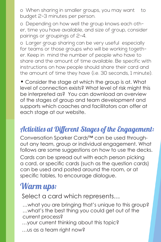o When sharing in smaller groups, you may want to budget 2-3 minutes per person.

o Depending on how well the group knows each other, time you have available, and size of group, consider pairings or groupings of 2-4.

o Larger group sharing can be very useful especially for teams or those groups who will be working together. Keep in mind the number of people who have to share and the amount of time available. Be specific with instructions on how people should share their card and the amount of time they have (i.e. 30 seconds, 1 minute).

**•** Consider the stage at which the group is at. What level of connection exists? What level of risk might this be interpreted as? You can download an overview of the stages of group and team development and supports which coaches and facilitators can offer at each stage at our website.

### Activities at Different Stages of the Engagement:

Conversation Sparker Cards™ can be used throughout any team, group or individual engagement. What follows are some suggestions on how to use the decks.

Cards can be spread out with each person picking a card, or specific cards (such as the question cards) can be used and posted around the room, or at specific tables, to encourage dialogue.

## Warm ups:

Select a card which represents…

…what you are bringing that's unique to this group? …what's the best thing you could get out of the current process? …your current thinking about this topic?

…us as a team right now?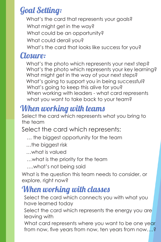## Goal Setting:

What's the card that represents your goals? What might get in the way? What could be an opportunity? What could derail you? What's the card that looks like success for you?

### Closure:

What's the photo which represents your next step? What's the photo which represents your key learning? What might get in the way of your next steps? What's going to support you in being successful? What's going to keep this alive for you? When working with leaders - what card represents what you want to take back to your team?

## When working with teams

Select the card which represents what you bring to the team

#### Select the card which represents:

- … the biggest opportunity for the team
- …the biggest risk
- …what is valued
- …what is the priority for the team
- ….what's not being said

What is the question this team needs to consider, or explore, right now?

## When working with classes

Select the card which connects you with what you have learned today

Select the card which represents the energy you are leaving with

What card represents where you want to be one year from now, five years from now, ten years from now….?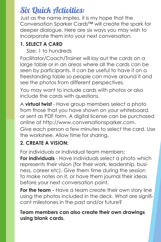## Six Quick Activities:

Just as the name implies, it is my hope that the Conversation Sparker Cards™ will create the spark for deeper dialogue. Here are six ways you may wish to incorporate them into your next conversation.

#### **1. SELECT A CARD**

Size: 1 to hundreds

Facilitator/Coach/Trainer will lay out the cards on a large table or in an areas where all the cards can be seen by participants. It can be useful to have it on a freestanding table so people can move around it and see the photos from different perspectives.

You may want to include cards with photos or also include the cards with questions.

A **virtual twist** - Have group members select a photo from those that you have shown on your whiteboard, or sent as PDF form. A digital license can be purchased online at http://www.conversationsparker.com.

Give each person a few minutes to select the card. Use the workshee. Allow time for sharing.

#### **2. CREATE A VISION:**

For individuals or individual team members:

**For individuals** - Have individuals select a photo which represents their vision (for their work, leadership, business, career etc). Give them time during the session to make notes on it, or have them journal their ideas before your next conversation point.

**For the team -** Have a team create their own story line using the photos included in the deck. What are significant milestones in the past and/or future?

**Team members can also create their own drawings using blank cards.**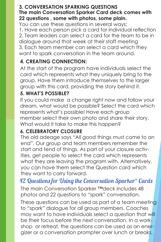#### **3. CONVERSATION SPARKING QUESTIONS The main Conversation Sparker Card deck comes with 22 questions , some with photos, some plain.**

You can use these questions in several ways:

1. Have each person pick a card for individual reflection 2. Team leaders can select a card for the team to be in dialogue around that week at their staff meeting 3. Each team member can select a card which they want to spark conversation in the team around.

#### **4. CREATING CONNECTION:**

At the start of the program have individuals select the card which represents what they uniquely bring to the group. Have them introduce themselves to the larger group with this card, providing the story behind it.

#### **5. WHAT'S POSSIBLE?**

If you could make a change right now and follow your dream, what would be possible? Select the card which represents what's possible! Have each group member select their own photo and share their story. What would it take to make this happen?

#### **6. CELEBRATORY CLOSURE**

The old adeage says "All good things must come to an end". Our group and team members remember the start and tend of things. As part of your closure activities, get people to select the card which represents what they are leaving the program with. Alternatively, you can have them select the Question card which they want to carry forward.

#### 42 Questions for Using the Conversation Sparker™ Cards

The main Conversation Sparker ™deck includes 48 photos and 22 questions to "spark" conversation.

These questions can be used as part of a team meeting to "spark" dialogue for all group members. Coaches may want to have individuals select a question that will be their focus before the next conversation. In a workshop or retreat, the questions can be used as an energizer or a conversation prompter over lunch or breaks.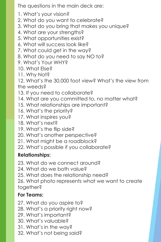The questions in the main deck are:

- 1. What's your vision?
- 2. What do you want to celebrate?
- 3. What do you bring that makes you unique?
- 4. What are your strengths?
- 5. What opportunities exist?
- 6. What will success look like?
- 7. What could get in the way?
- 8. What do you need to say NO to?
- 9. What's Your WHY?
- 10. What Else?
- 11. Why Not?

12. What's the 30,000 foot view? What's the view from the weeds?

- 13. If you need to collaborate?
- 14. What are you committed to, no matter what?
- 15. What relationships are important?
- 16. What's the priority?
- 17. What inspires you?
- 18. What's next?
- 19. What's the flip side?
- 20. What's another perspective?
- 21. What might be a roadblock?
- 22. What's possible if you collaborate?

#### **Relationships:**

- 23. What do we connect around?
- 24. What do we both value?
- 25. What does the relationship need?
- 26. What photo represents what we want to create together?

#### **For Teams:**

- 27. What do you aspire to?
- 28. What's a priority right now?
- 29. What's important?
- 30. What's valuable?
- 31. What's in the way?
- 32. What's not being said?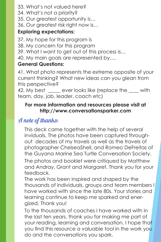- 33. What's not valued here?
- 34. What's not a priority?
- 35. Our greatest opportunity is…
- 36. Our greatest risk right now is…

#### **Exploring expectations:**

37. My hope for this program is

- 38. My concern for this program
- 39. What I want to get out of this process is…
- 40. My main goals are represented by….

#### **General Questions:**

41. What photo represents the extreme opposite of your current thinking? What new ideas can you glean from this perspective?

42. My best ever looks like (replace the with team, day, job, leader, coach etc)

#### **For more information and resources please visit at http://www.conversationsparker.com**

#### A note of thanks:

This deck came together with the help of several inviduals. The photos have been captured throughout decades of my travels as well as the travels of photographer ChelseaShell, and Romeo DeFreitas of the Guyana Marine Sea Turtle Conversation Society. The photos and booklet were critiqued by Matthew and Andray, Grant and Margaret. Thank you for your feedback.

The work has been inspired and shaped by the thousands of individuals, groups and team members I have worked with since the late 80s. Your stories and learning continue to keep me sparked and energized. Thank you!

To the thousands of coaches I have worked with in the last ten years, thank you for making me part of your reading, learning and conversation. I hope that you find this resource a valuable tool in the work you do and the conversations you spark.